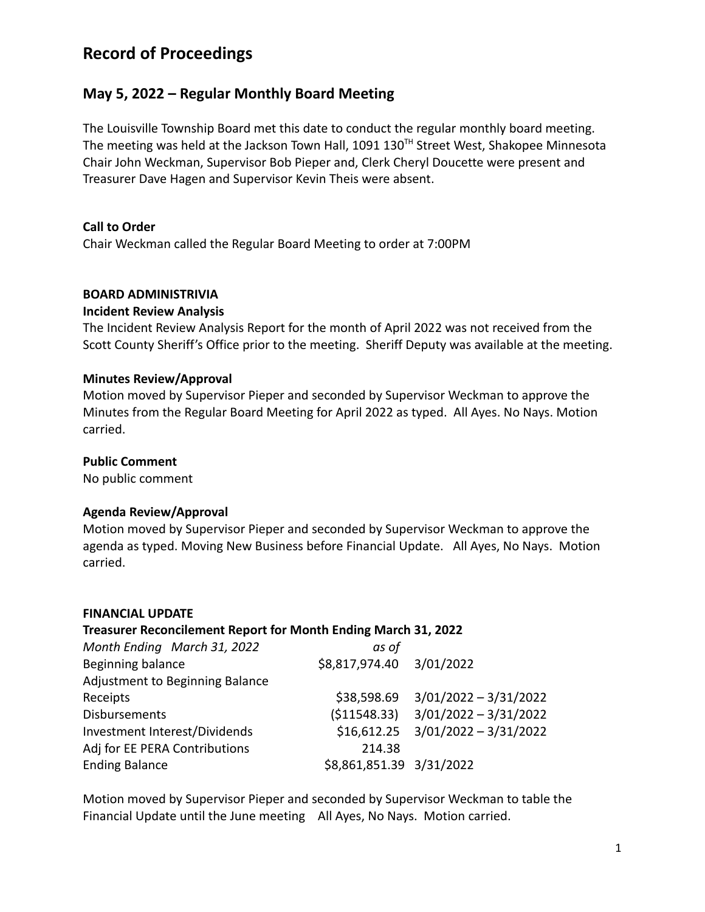# **Record of Proceedings**

# **May 5, 2022 – Regular Monthly Board Meeting**

The Louisville Township Board met this date to conduct the regular monthly board meeting. The meeting was held at the Jackson Town Hall,  $1091 130<sup>TH</sup>$  Street West, Shakopee Minnesota Chair John Weckman, Supervisor Bob Pieper and, Clerk Cheryl Doucette were present and Treasurer Dave Hagen and Supervisor Kevin Theis were absent.

## **Call to Order**

Chair Weckman called the Regular Board Meeting to order at 7:00PM

#### **BOARD ADMINISTRIVIA**

#### **Incident Review Analysis**

The Incident Review Analysis Report for the month of April 2022 was not received from the Scott County Sheriff's Office prior to the meeting. Sheriff Deputy was available at the meeting.

#### **Minutes Review/Approval**

Motion moved by Supervisor Pieper and seconded by Supervisor Weckman to approve the Minutes from the Regular Board Meeting for April 2022 as typed. All Ayes. No Nays. Motion carried.

#### **Public Comment**

No public comment

#### **Agenda Review/Approval**

Motion moved by Supervisor Pieper and seconded by Supervisor Weckman to approve the agenda as typed. Moving New Business before Financial Update. All Ayes, No Nays. Motion carried.

#### **FINANCIAL UPDATE**

#### **Treasurer Reconcilement Report for Month Ending March 31, 2022**

| Month Ending March 31, 2022     | as of                    |                                      |
|---------------------------------|--------------------------|--------------------------------------|
| Beginning balance               |                          |                                      |
| Adjustment to Beginning Balance |                          |                                      |
| Receipts                        | \$38,598.69              | 3/01/2022 - 3/31/2022                |
| <b>Disbursements</b>            | ( \$11548.33)            | $3/01/2022 - 3/31/2022$              |
| Investment Interest/Dividends   |                          | $$16,612.25$ $3/01/2022 - 3/31/2022$ |
| Adj for EE PERA Contributions   | 214.38                   |                                      |
| <b>Ending Balance</b>           | \$8,861,851.39 3/31/2022 |                                      |

Motion moved by Supervisor Pieper and seconded by Supervisor Weckman to table the Financial Update until the June meeting All Ayes, No Nays. Motion carried.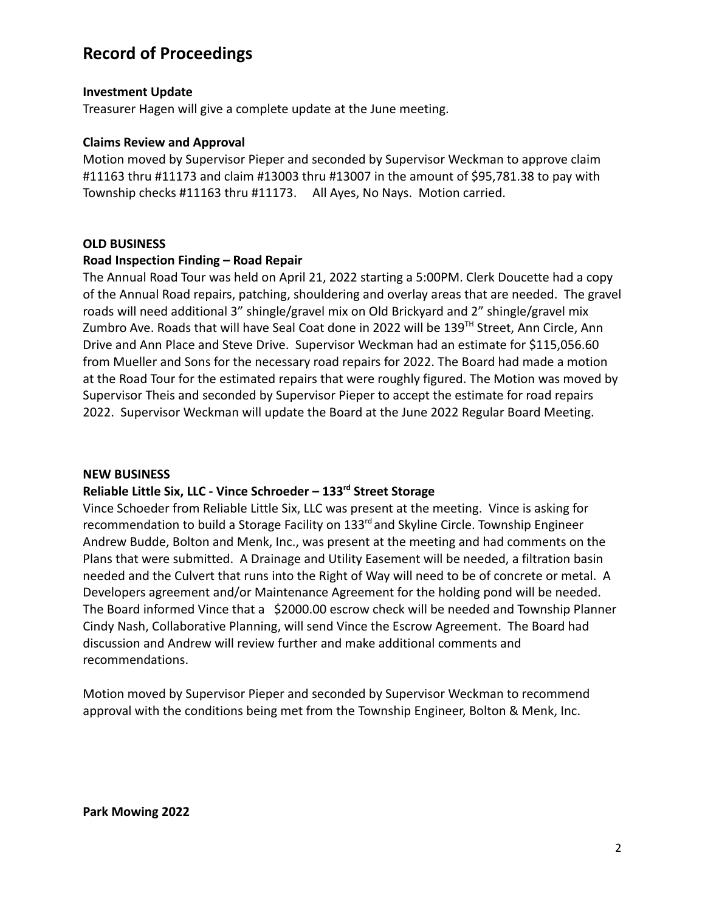# **Record of Proceedings**

#### **Investment Update**

Treasurer Hagen will give a complete update at the June meeting.

#### **Claims Review and Approval**

Motion moved by Supervisor Pieper and seconded by Supervisor Weckman to approve claim #11163 thru #11173 and claim #13003 thru #13007 in the amount of \$95,781.38 to pay with Township checks #11163 thru #11173. All Ayes, No Nays. Motion carried.

#### **OLD BUSINESS**

#### **Road Inspection Finding – Road Repair**

The Annual Road Tour was held on April 21, 2022 starting a 5:00PM. Clerk Doucette had a copy of the Annual Road repairs, patching, shouldering and overlay areas that are needed. The gravel roads will need additional 3" shingle/gravel mix on Old Brickyard and 2" shingle/gravel mix Zumbro Ave. Roads that will have Seal Coat done in 2022 will be 139<sup>TH</sup> Street, Ann Circle, Ann Drive and Ann Place and Steve Drive. Supervisor Weckman had an estimate for \$115,056.60 from Mueller and Sons for the necessary road repairs for 2022. The Board had made a motion at the Road Tour for the estimated repairs that were roughly figured. The Motion was moved by Supervisor Theis and seconded by Supervisor Pieper to accept the estimate for road repairs 2022. Supervisor Weckman will update the Board at the June 2022 Regular Board Meeting.

#### **NEW BUSINESS**

## **Reliable Little Six, LLC - Vince Schroeder – 133rd Street Storage**

Vince Schoeder from Reliable Little Six, LLC was present at the meeting. Vince is asking for recommendation to build a Storage Facility on 133<sup>rd</sup> and Skyline Circle. Township Engineer Andrew Budde, Bolton and Menk, Inc., was present at the meeting and had comments on the Plans that were submitted. A Drainage and Utility Easement will be needed, a filtration basin needed and the Culvert that runs into the Right of Way will need to be of concrete or metal. A Developers agreement and/or Maintenance Agreement for the holding pond will be needed. The Board informed Vince that a \$2000.00 escrow check will be needed and Township Planner Cindy Nash, Collaborative Planning, will send Vince the Escrow Agreement. The Board had discussion and Andrew will review further and make additional comments and recommendations.

Motion moved by Supervisor Pieper and seconded by Supervisor Weckman to recommend approval with the conditions being met from the Township Engineer, Bolton & Menk, Inc.